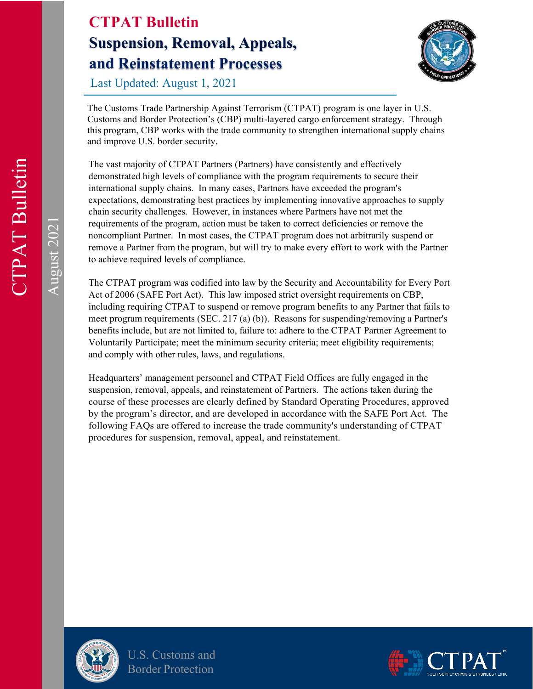

Last Updated: August 1, 2021

The Customs Trade Partnership Against Terrorism (CTPAT) program is one layer in U.S. Customs and Border Protection's (CBP) multi-layered cargo enforcement strategy. Through this program, CBP works with the trade community to strengthen international supply chains and improve U.S. border security.

The vast majority of CTPAT Partners (Partners) have consistently and effectively demonstrated high levels of compliance with the program requirements to secure their international supply chains. In many cases, Partners have exceeded the program's expectations, demonstrating best practices by implementing innovative approaches to supply chain security challenges. However, in instances where Partners have not met the requirements of the program, action must be taken to correct deficiencies or remove the noncompliant Partner. In most cases, the CTPAT program does not arbitrarily suspend or remove a Partner from the program, but will try to make every effort to work with the Partner to achieve required levels of compliance.

The CTPAT program was codified into law by the Security and Accountability for Every Port Act of 2006 (SAFE Port Act). This law imposed strict oversight requirements on CBP, including requiring CTPAT to suspend or remove program benefits to any Partner that fails to meet program requirements (SEC. 217 (a) (b)). Reasons for suspending/removing a Partner's benefits include, but are not limited to, failure to: adhere to the CTPAT Partner Agreement to Voluntarily Participate; meet the minimum security criteria; meet eligibility requirements; and comply with other rules, laws, and regulations.

Headquarters' management personnel and CTPAT Field Offices are fully engaged in the suspension, removal, appeals, and reinstatement of Partners. The actions taken during the course of these processes are clearly defined by Standard Operating Procedures, approved by the program's director, and are developed in accordance with the SAFE Port Act. The following FAQs are offered to increase the trade community's understanding of CTPAT procedures for suspension, removal, appeal, and reinstatement.



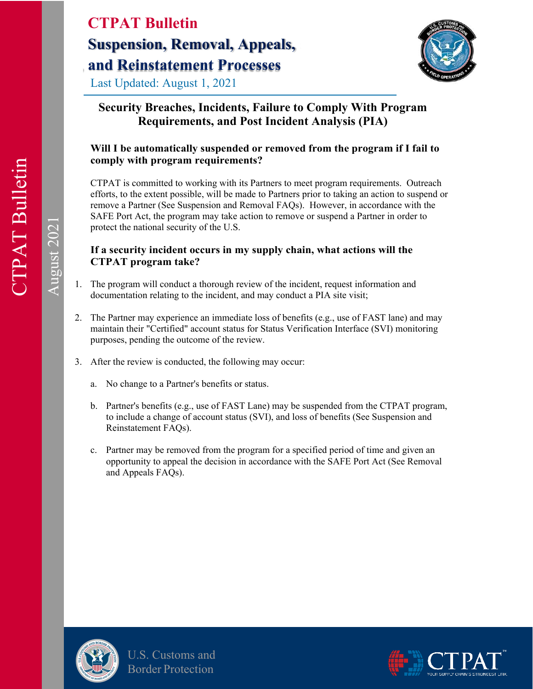Last Updated: August 1, 2021



# **Security Breaches, Incidents, Failure to Comply With Program Requirements, and Post Incident Analysis (PIA)**

# **Will I be automatically suspended or removed from the program if I fail to comply with program requirements?**

CTPAT is committed to working with its Partners to meet program requirements. Outreach efforts, to the extent possible, will be made to Partners prior to taking an action to suspend or remove a Partner (See Suspension and Removal FAQs). However, in accordance with the SAFE Port Act, the program may take action to remove or suspend a Partner in order to protect the national security of the U.S.

### **If a security incident occurs in my supply chain, what actions will the CTPAT program take?**

- 1. The program will conduct a thorough review of the incident, request information and documentation relating to the incident, and may conduct a PIA site visit;
- 2. The Partner may experience an immediate loss of benefits (e.g., use of FAST lane) and may maintain their "Certified" account status for Status Verification Interface (SVI) monitoring purposes, pending the outcome of the review.
- 3. After the review is conducted, the following may occur:
	- a. No change to a Partner's benefits or status.
	- b. Partner's benefits (e.g., use of FAST Lane) may be suspended from the CTPAT program, to include a change of account status (SVI), and loss of benefits (See Suspension and Reinstatement FAQs).
	- c. Partner may be removed from the program for a specified period of time and given an opportunity to appeal the decision in accordance with the SAFE Port Act (See Removal and Appeals FAQs).



U.S. Customs and Border Protection

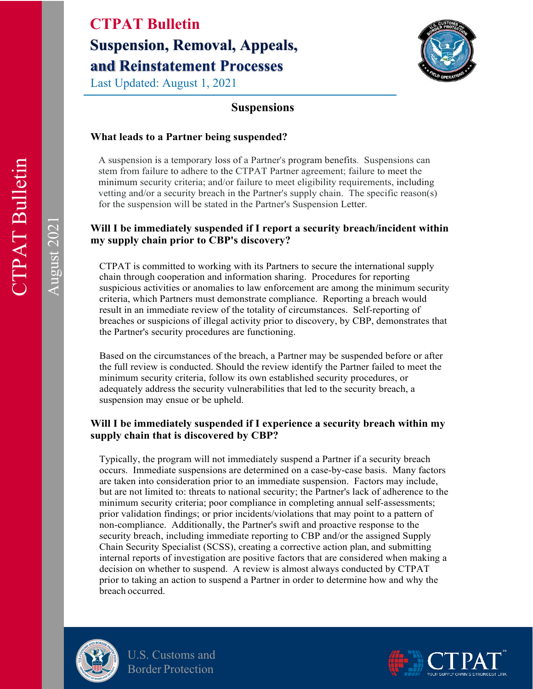Last Updated: August 1, 2021



# **Suspensions**

#### **What leads to a Partner being suspended?**

A suspension is a temporary loss of a Partner's program benefits. Suspensions can stem from failure to adhere to the CTPAT Partner agreement; failure to meet the minimum security criteria; and/or failure to meet eligibility requirements, including vetting and/or a security breach in the Partner's supply chain. The specific reason(s) for the suspension will be stated in the Partner's Suspension Letter.

#### **Will I be immediately suspended if I report a security breach/incident within my supply chain prior to CBP's discovery?**

CTPAT is committed to working with its Partners to secure the international supply chain through cooperation and information sharing. Procedures for reporting suspicious activities or anomalies to law enforcement are among the minimum security criteria, which Partners must demonstrate compliance. Reporting a breach would result in an immediate review of the totality of circumstances. Self-reporting of breaches or suspicions of illegal activity prior to discovery, by CBP, demonstrates that the Partner's security procedures are functioning.

Based on the circumstances of the breach, a Partner may be suspended before or after the full review is conducted. Should the review identify the Partner failed to meet the minimum security criteria, follow its own established security procedures, or adequately address the security vulnerabilities that led to the security breach, a suspension may ensue or be upheld.

### **Will I be immediately suspended if I experience a security breach within my supply chain that is discovered by CBP?**

Typically, the program will not immediately suspend a Partner if a security breach occurs. Immediate suspensions are determined on a case-by-case basis. Many factors are taken into consideration prior to an immediate suspension. Factors may include, but are not limited to: threats to national security; the Partner's lack of adherence to the minimum security criteria; poor compliance in completing annual self-assessments; prior validation findings; or prior incidents/violations that may point to a pattern of non-compliance. Additionally, the Partner's swift and proactive response to the security breach, including immediate reporting to CBP and/or the assigned Supply Chain Security Specialist (SCSS), creating a corrective action plan, and submitting internal reports of investigation are positive factors that are considered when making a decision on whether to suspend. A review is almost always conducted by CTPAT prior to taking an action to suspend a Partner in order to determine how and why the breach occurred.



U.S. Customs and Border Protection

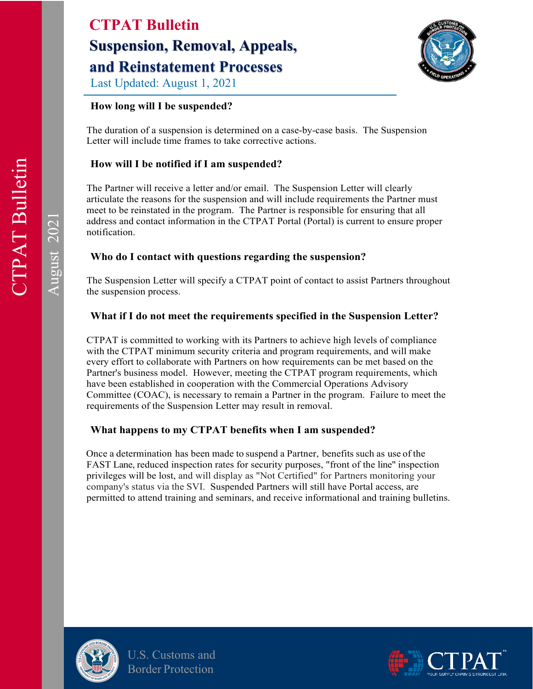

Last Updated: August 1, 2021

# **How long will I be suspended?**

The duration of a suspension is determined on a case-by-case basis. The Suspension Letter will include time frames to take corrective actions.

# **How will I be notified if I am suspended?**

The Partner will receive a letter and/or email. The Suspension Letter will clearly articulate the reasons for the suspension and will include requirements the Partner must meet to be reinstated in the program. The Partner is responsible for ensuring that all address and contact information in the CTPAT Portal (Portal) is current to ensure proper notification.

# **Who do I contact with questions regarding the suspension?**

The Suspension Letter will specify a CTPAT point of contact to assist Partners throughout the suspension process.

# **What if I do not meet the requirements specified in the Suspension Letter?**

CTPAT is committed to working with its Partners to achieve high levels of compliance with the CTPAT minimum security criteria and program requirements, and will make every effort to collaborate with Partners on how requirements can be met based on the Partner's business model. However, meeting the CTPAT program requirements, which have been established in cooperation with the Commercial Operations Advisory Committee (COAC), is necessary to remain a Partner in the program. Failure to meet the requirements of the Suspension Letter may result in removal.

# **What happens to my CTPAT benefits when I am suspended?**

Once a determination has been made to suspend a Partner, benefits such as use of the FAST Lane, reduced inspection rates for security purposes, "front of the line" inspection privileges will be lost, and will display as "Not Certified" for Partners monitoring your company's status via the SVI. Suspended Partners will still have Portal access, are permitted to attend training and seminars, and receive informational and training bulletins.



U.S. Customs and Border Protection

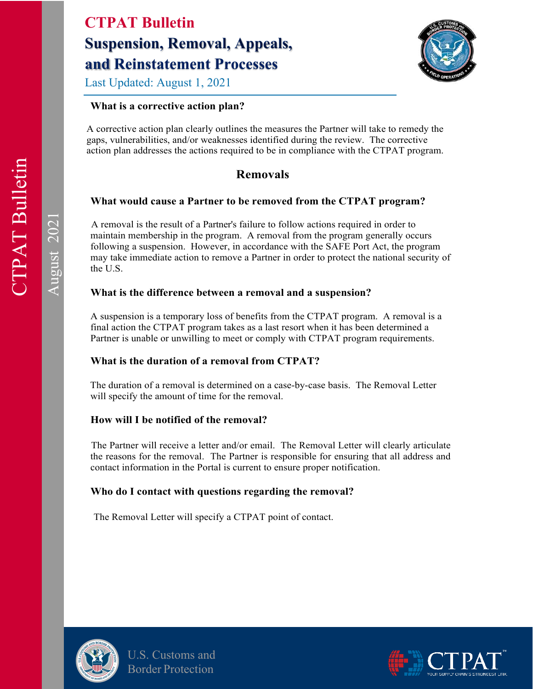Last Updated: August 1, 2021

## **What is a corrective action plan?**

A corrective action plan clearly outlines the measures the Partner will take to remedy the gaps, vulnerabilities, and/or weaknesses identified during the review. The corrective action plan addresses the actions required to be in compliance with the CTPAT program.

# **Removals**

### **What would cause a Partner to be removed from the CTPAT program?**

A removal is the result of a Partner's failure to follow actions required in order to maintain membership in the program. A removal from the program generally occurs following a suspension. However, in accordance with the SAFE Port Act, the program may take immediate action to remove a Partner in order to protect the national security of the U.S.

### **What is the difference between a removal and a suspension?**

A suspension is a temporary loss of benefits from the CTPAT program. A removal is a final action the CTPAT program takes as a last resort when it has been determined a Partner is unable or unwilling to meet or comply with CTPAT program requirements.

### **What is the duration of a removal from CTPAT?**

The duration of a removal is determined on a case-by-case basis. The Removal Letter will specify the amount of time for the removal.

### **How will I be notified of the removal?**

The Partner will receive a letter and/or email. The Removal Letter will clearly articulate the reasons for the removal. The Partner is responsible for ensuring that all address and contact information in the Portal is current to ensure proper notification.

### **Who do I contact with questions regarding the removal?**

The Removal Letter will specify a CTPAT point of contact.



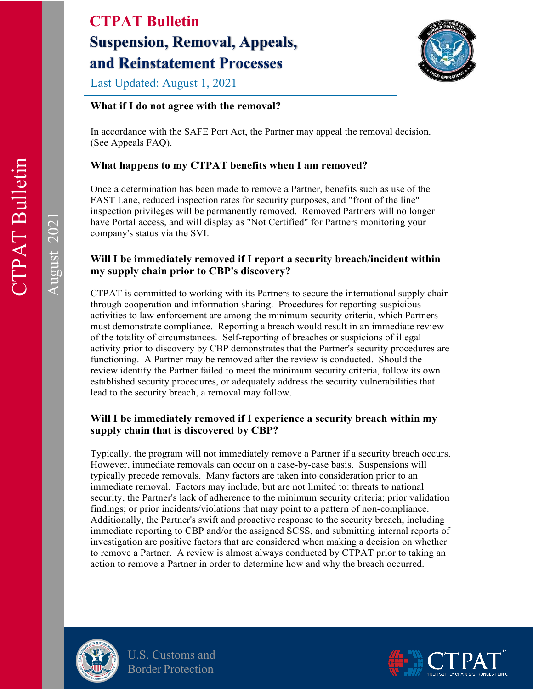

Last Updated: August 1, 2021

## **What if I do not agree with the removal?**

In accordance with the SAFE Port Act, the Partner may appeal the removal decision. (See Appeals FAQ).

# **What happens to my CTPAT benefits when I am removed?**

Once a determination has been made to remove a Partner, benefits such as use of the FAST Lane, reduced inspection rates for security purposes, and "front of the line" inspection privileges will be permanently removed. Removed Partners will no longer have Portal access, and will display as "Not Certified" for Partners monitoring your company's status via the SVI.

### **Will I be immediately removed if I report a security breach/incident within my supply chain prior to CBP's discovery?**

CTPAT is committed to working with its Partners to secure the international supply chain through cooperation and information sharing. Procedures for reporting suspicious activities to law enforcement are among the minimum security criteria, which Partners must demonstrate compliance. Reporting a breach would result in an immediate review of the totality of circumstances. Self-reporting of breaches or suspicions of illegal activity prior to discovery by CBP demonstrates that the Partner's security procedures are functioning. A Partner may be removed after the review is conducted. Should the review identify the Partner failed to meet the minimum security criteria, follow its own established security procedures, or adequately address the security vulnerabilities that lead to the security breach, a removal may follow.

# **Will I be immediately removed if I experience a security breach within my supply chain that is discovered by CBP?**

Typically, the program will not immediately remove a Partner if a security breach occurs. However, immediate removals can occur on a case-by-case basis. Suspensions will typically precede removals. Many factors are taken into consideration prior to an immediate removal. Factors may include, but are not limited to: threats to national security, the Partner's lack of adherence to the minimum security criteria; prior validation findings; or prior incidents/violations that may point to a pattern of non-compliance. Additionally, the Partner's swift and proactive response to the security breach, including immediate reporting to CBP and/or the assigned SCSS, and submitting internal reports of investigation are positive factors that are considered when making a decision on whether to remove a Partner. A review is almost always conducted by CTPAT prior to taking an action to remove a Partner in order to determine how and why the breach occurred.



U.S. Customs and Border Protection

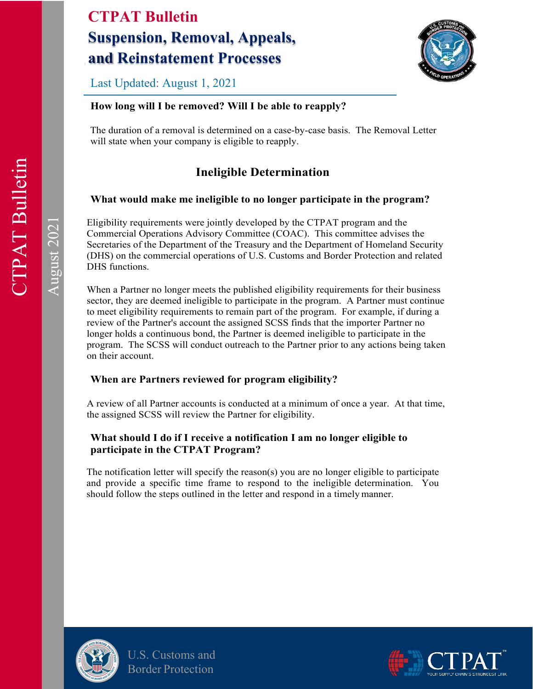

Last Updated: August 1, 2021

# **How long will I be removed? Will I be able to reapply?**

The duration of a removal is determined on a case-by-case basis. The Removal Letter will state when your company is eligible to reapply.

# **Ineligible Determination**

#### **What would make me ineligible to no longer participate in the program?**

Eligibility requirements were jointly developed by the CTPAT program and the Commercial Operations Advisory Committee (COAC). This committee advises the Secretaries of the Department of the Treasury and the Department of Homeland Security (DHS) on the commercial operations of U.S. Customs and Border Protection and related DHS functions.

When a Partner no longer meets the published eligibility requirements for their business sector, they are deemed ineligible to participate in the program. A Partner must continue to meet eligibility requirements to remain part of the program. For example, if during a review of the Partner's account the assigned SCSS finds that the importer Partner no longer holds a continuous bond, the Partner is deemed ineligible to participate in the program. The SCSS will conduct outreach to the Partner prior to any actions being taken on their account.

#### **When are Partners reviewed for program eligibility?**

A review of all Partner accounts is conducted at a minimum of once a year. At that time, the assigned SCSS will review the Partner for eligibility.

#### **What should I do if I receive a notification I am no longer eligible to participate in the CTPAT Program?**

The notification letter will specify the reason(s) you are no longer eligible to participate and provide a specific time frame to respond to the ineligible determination. You should follow the steps outlined in the letter and respond in a timely manner.



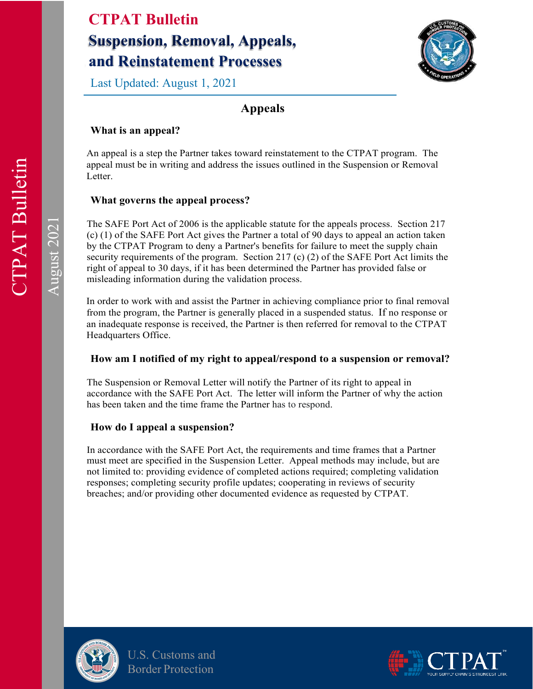Last Updated: August 1, 2021



# **Appeals**

## **What is an appeal?**

An appeal is a step the Partner takes toward reinstatement to the CTPAT program. The appeal must be in writing and address the issues outlined in the Suspension or Removal Letter.

### **What governs the appeal process?**

The SAFE Port Act of 2006 is the applicable statute for the appeals process. Section 217 (c) (1) of the SAFE Port Act gives the Partner a total of 90 days to appeal an action taken by the CTPAT Program to deny a Partner's benefits for failure to meet the supply chain security requirements of the program. Section 217 (c) (2) of the SAFE Port Act limits the right of appeal to 30 days, if it has been determined the Partner has provided false or misleading information during the validation process.

In order to work with and assist the Partner in achieving compliance prior to final removal from the program, the Partner is generally placed in a suspended status. If no response or an inadequate response is received, the Partner is then referred for removal to the CTPAT Headquarters Office.

### **How am I notified of my right to appeal/respond to a suspension or removal?**

The Suspension or Removal Letter will notify the Partner of its right to appeal in accordance with the SAFE Port Act. The letter will inform the Partner of why the action has been taken and the time frame the Partner has to respond.

### **How do I appeal a suspension?**

In accordance with the SAFE Port Act, the requirements and time frames that a Partner must meet are specified in the Suspension Letter. Appeal methods may include, but are not limited to: providing evidence of completed actions required; completing validation responses; completing security profile updates; cooperating in reviews of security breaches; and/or providing other documented evidence as requested by CTPAT.



U.S. Customs and Border Protection

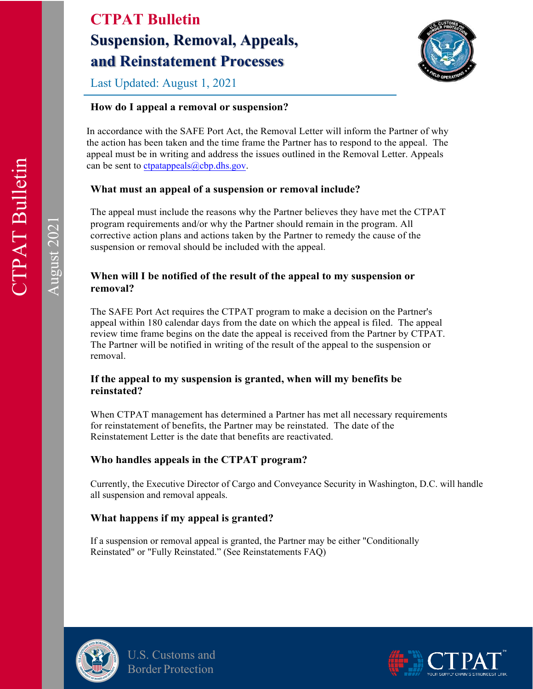

Last Updated: August 1, 2021

# **How do I appeal a removal or suspension?**

In accordance with the SAFE Port Act, the Removal Letter will inform the Partner of why the action has been taken and the time frame the Partner has to respond to the appeal. The appeal must be in writing and address the issues outlined in the Removal Letter. Appeals can be sent to ctpatappeals $@cbp.dhs.gov$ .

### **What must an appeal of a suspension or removal include?**

The appeal must include the reasons why the Partner believes they have met the CTPAT program requirements and/or why the Partner should remain in the program. All corrective action plans and actions taken by the Partner to remedy the cause of the suspension or removal should be included with the appeal.

### **When will I be notified of the result of the appeal to my suspension or removal?**

The SAFE Port Act requires the CTPAT program to make a decision on the Partner's appeal within 180 calendar days from the date on which the appeal is filed. The appeal review time frame begins on the date the appeal is received from the Partner by CTPAT. The Partner will be notified in writing of the result of the appeal to the suspension or removal.

#### **If the appeal to my suspension is granted, when will my benefits be reinstated?**

When CTPAT management has determined a Partner has met all necessary requirements for reinstatement of benefits, the Partner may be reinstated. The date of the Reinstatement Letter is the date that benefits are reactivated.

### **Who handles appeals in the CTPAT program?**

Currently, the Executive Director of Cargo and Conveyance Security in Washington, D.C. will handle all suspension and removal appeals.

### **What happens if my appeal is granted?**

If a suspension or removal appeal is granted, the Partner may be either "Conditionally Reinstated" or "Fully Reinstated." (See Reinstatements FAQ)



U.S. Customs and Border Protection